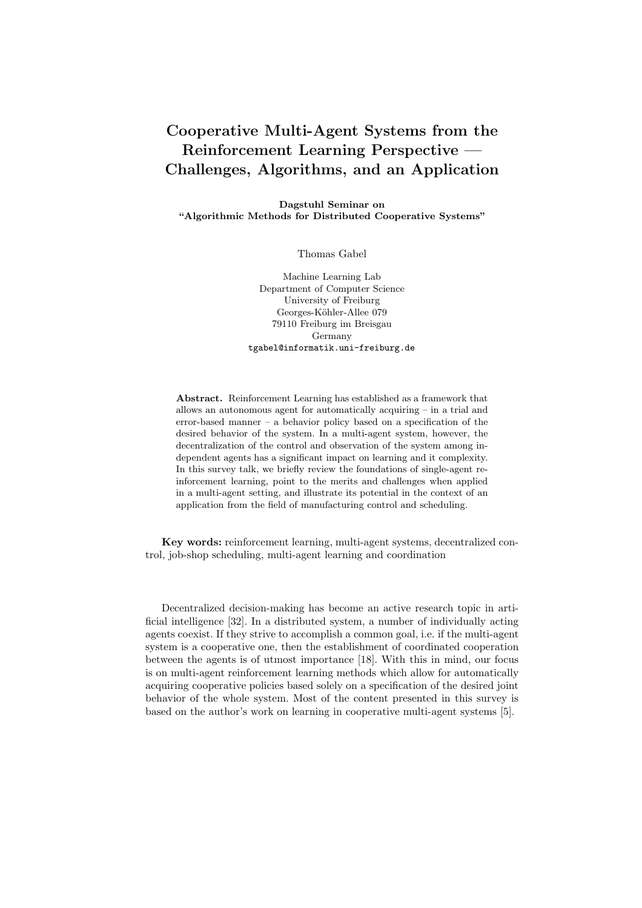## Cooperative Multi-Agent Systems from the Reinforcement Learning Perspective — Challenges, Algorithms, and an Application

Dagstuhl Seminar on "Algorithmic Methods for Distributed Cooperative Systems"

Thomas Gabel

Machine Learning Lab Department of Computer Science University of Freiburg Georges-Köhler-Allee 079 79110 Freiburg im Breisgau Germany tgabel@informatik.uni-freiburg.de

Abstract. Reinforcement Learning has established as a framework that allows an autonomous agent for automatically acquiring – in a trial and error-based manner – a behavior policy based on a specification of the desired behavior of the system. In a multi-agent system, however, the decentralization of the control and observation of the system among independent agents has a significant impact on learning and it complexity. In this survey talk, we briefly review the foundations of single-agent reinforcement learning, point to the merits and challenges when applied in a multi-agent setting, and illustrate its potential in the context of an application from the field of manufacturing control and scheduling.

Key words: reinforcement learning, multi-agent systems, decentralized control, job-shop scheduling, multi-agent learning and coordination

Decentralized decision-making has become an active research topic in artificial intelligence [32]. In a distributed system, a number of individually acting agents coexist. If they strive to accomplish a common goal, i.e. if the multi-agent system is a cooperative one, then the establishment of coordinated cooperation between the agents is of utmost importance [18]. With this in mind, our focus is on multi-agent reinforcement learning methods which allow for automatically acquiring cooperative policies based solely on a specification of the desired joint behavior of the whole system. Most of the content presented in this survey is based on the author's work on learning in cooperative multi-agent systems [5].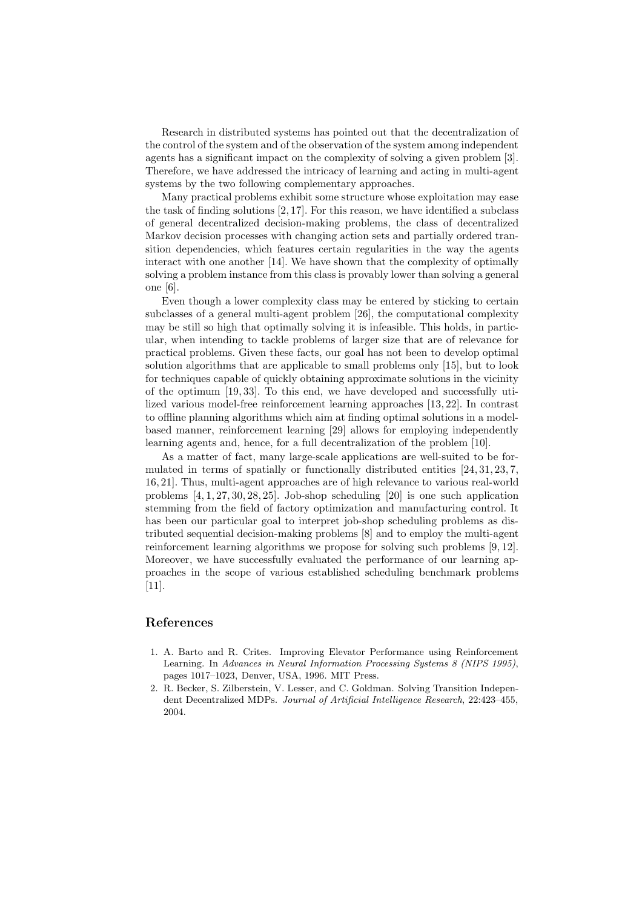Research in distributed systems has pointed out that the decentralization of the control of the system and of the observation of the system among independent agents has a significant impact on the complexity of solving a given problem [3]. Therefore, we have addressed the intricacy of learning and acting in multi-agent systems by the two following complementary approaches.

Many practical problems exhibit some structure whose exploitation may ease the task of finding solutions [2, 17]. For this reason, we have identified a subclass of general decentralized decision-making problems, the class of decentralized Markov decision processes with changing action sets and partially ordered transition dependencies, which features certain regularities in the way the agents interact with one another [14]. We have shown that the complexity of optimally solving a problem instance from this class is provably lower than solving a general one [6].

Even though a lower complexity class may be entered by sticking to certain subclasses of a general multi-agent problem [26], the computational complexity may be still so high that optimally solving it is infeasible. This holds, in particular, when intending to tackle problems of larger size that are of relevance for practical problems. Given these facts, our goal has not been to develop optimal solution algorithms that are applicable to small problems only [15], but to look for techniques capable of quickly obtaining approximate solutions in the vicinity of the optimum [19, 33]. To this end, we have developed and successfully utilized various model-free reinforcement learning approaches [13, 22]. In contrast to offline planning algorithms which aim at finding optimal solutions in a modelbased manner, reinforcement learning [29] allows for employing independently learning agents and, hence, for a full decentralization of the problem [10].

As a matter of fact, many large-scale applications are well-suited to be formulated in terms of spatially or functionally distributed entities [24, 31, 23, 7, 16, 21]. Thus, multi-agent approaches are of high relevance to various real-world problems [4, 1, 27, 30, 28, 25]. Job-shop scheduling [20] is one such application stemming from the field of factory optimization and manufacturing control. It has been our particular goal to interpret job-shop scheduling problems as distributed sequential decision-making problems [8] and to employ the multi-agent reinforcement learning algorithms we propose for solving such problems [9, 12]. Moreover, we have successfully evaluated the performance of our learning approaches in the scope of various established scheduling benchmark problems [11].

## References

- 1. A. Barto and R. Crites. Improving Elevator Performance using Reinforcement Learning. In *Advances in Neural Information Processing Systems 8 (NIPS 1995)*, pages 1017–1023, Denver, USA, 1996. MIT Press.
- 2. R. Becker, S. Zilberstein, V. Lesser, and C. Goldman. Solving Transition Independent Decentralized MDPs. *Journal of Artificial Intelligence Research*, 22:423–455, 2004.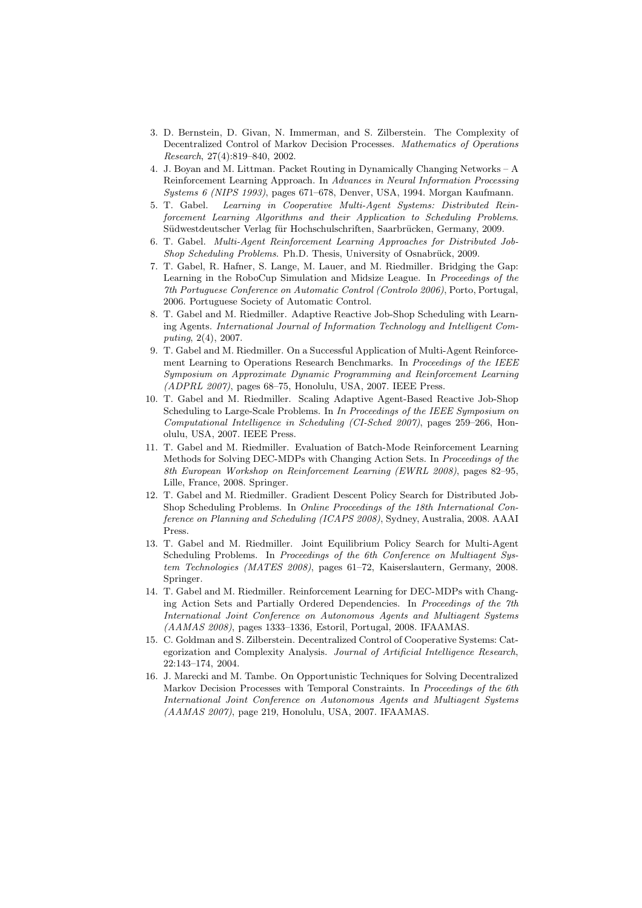- 3. D. Bernstein, D. Givan, N. Immerman, and S. Zilberstein. The Complexity of Decentralized Control of Markov Decision Processes. *Mathematics of Operations Research*, 27(4):819–840, 2002.
- 4. J. Boyan and M. Littman. Packet Routing in Dynamically Changing Networks A Reinforcement Learning Approach. In *Advances in Neural Information Processing Systems 6 (NIPS 1993)*, pages 671–678, Denver, USA, 1994. Morgan Kaufmann.
- 5. T. Gabel. *Learning in Cooperative Multi-Agent Systems: Distributed Reinforcement Learning Algorithms and their Application to Scheduling Problems*. Südwestdeutscher Verlag für Hochschulschriften, Saarbrücken, Germany, 2009.
- 6. T. Gabel. *Multi-Agent Reinforcement Learning Approaches for Distributed Job-Shop Scheduling Problems*. Ph.D. Thesis, University of Osnabrück, 2009.
- 7. T. Gabel, R. Hafner, S. Lange, M. Lauer, and M. Riedmiller. Bridging the Gap: Learning in the RoboCup Simulation and Midsize League. In *Proceedings of the 7th Portuguese Conference on Automatic Control (Controlo 2006)*, Porto, Portugal, 2006. Portuguese Society of Automatic Control.
- 8. T. Gabel and M. Riedmiller. Adaptive Reactive Job-Shop Scheduling with Learning Agents. *International Journal of Information Technology and Intelligent Computing*, 2(4), 2007.
- 9. T. Gabel and M. Riedmiller. On a Successful Application of Multi-Agent Reinforcement Learning to Operations Research Benchmarks. In *Proceedings of the IEEE Symposium on Approximate Dynamic Programming and Reinforcement Learning (ADPRL 2007)*, pages 68–75, Honolulu, USA, 2007. IEEE Press.
- 10. T. Gabel and M. Riedmiller. Scaling Adaptive Agent-Based Reactive Job-Shop Scheduling to Large-Scale Problems. In *In Proceedings of the IEEE Symposium on Computational Intelligence in Scheduling (CI-Sched 2007)*, pages 259–266, Honolulu, USA, 2007. IEEE Press.
- 11. T. Gabel and M. Riedmiller. Evaluation of Batch-Mode Reinforcement Learning Methods for Solving DEC-MDPs with Changing Action Sets. In *Proceedings of the 8th European Workshop on Reinforcement Learning (EWRL 2008)*, pages 82–95, Lille, France, 2008. Springer.
- 12. T. Gabel and M. Riedmiller. Gradient Descent Policy Search for Distributed Job-Shop Scheduling Problems. In *Online Proceedings of the 18th International Conference on Planning and Scheduling (ICAPS 2008)*, Sydney, Australia, 2008. AAAI Press.
- 13. T. Gabel and M. Riedmiller. Joint Equilibrium Policy Search for Multi-Agent Scheduling Problems. In *Proceedings of the 6th Conference on Multiagent System Technologies (MATES 2008)*, pages 61–72, Kaiserslautern, Germany, 2008. Springer.
- 14. T. Gabel and M. Riedmiller. Reinforcement Learning for DEC-MDPs with Changing Action Sets and Partially Ordered Dependencies. In *Proceedings of the 7th International Joint Conference on Autonomous Agents and Multiagent Systems (AAMAS 2008)*, pages 1333–1336, Estoril, Portugal, 2008. IFAAMAS.
- 15. C. Goldman and S. Zilberstein. Decentralized Control of Cooperative Systems: Categorization and Complexity Analysis. *Journal of Artificial Intelligence Research*, 22:143–174, 2004.
- 16. J. Marecki and M. Tambe. On Opportunistic Techniques for Solving Decentralized Markov Decision Processes with Temporal Constraints. In *Proceedings of the 6th International Joint Conference on Autonomous Agents and Multiagent Systems (AAMAS 2007)*, page 219, Honolulu, USA, 2007. IFAAMAS.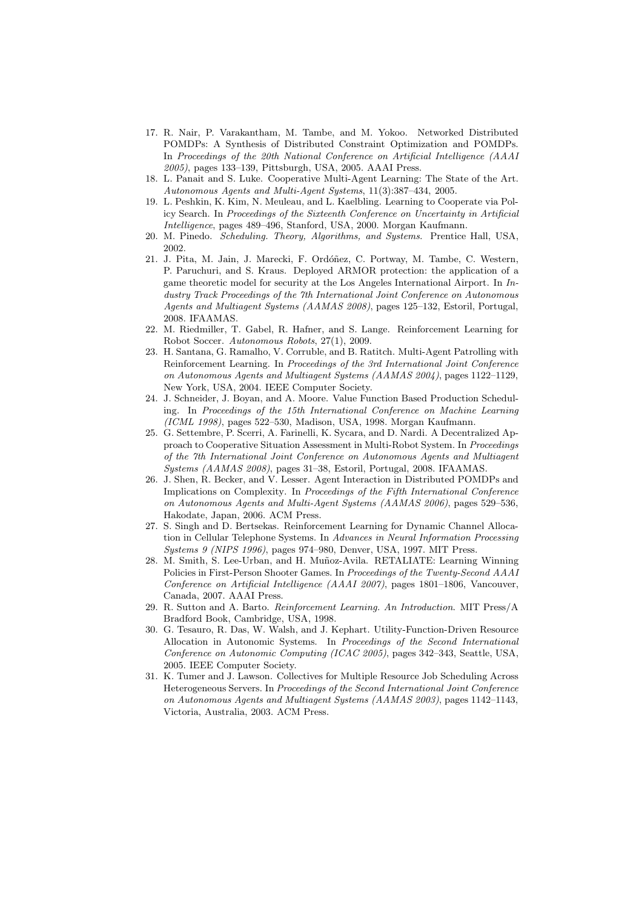- 17. R. Nair, P. Varakantham, M. Tambe, and M. Yokoo. Networked Distributed POMDPs: A Synthesis of Distributed Constraint Optimization and POMDPs. In *Proceedings of the 20th National Conference on Artificial Intelligence (AAAI 2005)*, pages 133–139, Pittsburgh, USA, 2005. AAAI Press.
- 18. L. Panait and S. Luke. Cooperative Multi-Agent Learning: The State of the Art. *Autonomous Agents and Multi-Agent Systems*, 11(3):387–434, 2005.
- 19. L. Peshkin, K. Kim, N. Meuleau, and L. Kaelbling. Learning to Cooperate via Policy Search. In *Proceedings of the Sixteenth Conference on Uncertainty in Artificial Intelligence*, pages 489–496, Stanford, USA, 2000. Morgan Kaufmann.
- 20. M. Pinedo. *Scheduling. Theory, Algorithms, and Systems*. Prentice Hall, USA, 2002.
- 21. J. Pita, M. Jain, J. Marecki, F. Ordóñez, C. Portway, M. Tambe, C. Western, P. Paruchuri, and S. Kraus. Deployed ARMOR protection: the application of a game theoretic model for security at the Los Angeles International Airport. In *Industry Track Proceedings of the 7th International Joint Conference on Autonomous Agents and Multiagent Systems (AAMAS 2008)*, pages 125–132, Estoril, Portugal, 2008. IFAAMAS.
- 22. M. Riedmiller, T. Gabel, R. Hafner, and S. Lange. Reinforcement Learning for Robot Soccer. *Autonomous Robots*, 27(1), 2009.
- 23. H. Santana, G. Ramalho, V. Corruble, and B. Ratitch. Multi-Agent Patrolling with Reinforcement Learning. In *Proceedings of the 3rd International Joint Conference on Autonomous Agents and Multiagent Systems (AAMAS 2004)*, pages 1122–1129, New York, USA, 2004. IEEE Computer Society.
- 24. J. Schneider, J. Boyan, and A. Moore. Value Function Based Production Scheduling. In *Proceedings of the 15th International Conference on Machine Learning (ICML 1998)*, pages 522–530, Madison, USA, 1998. Morgan Kaufmann.
- 25. G. Settembre, P. Scerri, A. Farinelli, K. Sycara, and D. Nardi. A Decentralized Approach to Cooperative Situation Assessment in Multi-Robot System. In *Proceedings of the 7th International Joint Conference on Autonomous Agents and Multiagent Systems (AAMAS 2008)*, pages 31–38, Estoril, Portugal, 2008. IFAAMAS.
- 26. J. Shen, R. Becker, and V. Lesser. Agent Interaction in Distributed POMDPs and Implications on Complexity. In *Proceedings of the Fifth International Conference on Autonomous Agents and Multi-Agent Systems (AAMAS 2006)*, pages 529–536, Hakodate, Japan, 2006. ACM Press.
- 27. S. Singh and D. Bertsekas. Reinforcement Learning for Dynamic Channel Allocation in Cellular Telephone Systems. In *Advances in Neural Information Processing Systems 9 (NIPS 1996)*, pages 974–980, Denver, USA, 1997. MIT Press.
- 28. M. Smith, S. Lee-Urban, and H. Muñoz-Avila. RETALIATE: Learning Winning Policies in First-Person Shooter Games. In *Proceedings of the Twenty-Second AAAI Conference on Artificial Intelligence (AAAI 2007)*, pages 1801–1806, Vancouver, Canada, 2007. AAAI Press.
- 29. R. Sutton and A. Barto. *Reinforcement Learning. An Introduction*. MIT Press/A Bradford Book, Cambridge, USA, 1998.
- 30. G. Tesauro, R. Das, W. Walsh, and J. Kephart. Utility-Function-Driven Resource Allocation in Autonomic Systems. In *Proceedings of the Second International Conference on Autonomic Computing (ICAC 2005)*, pages 342–343, Seattle, USA, 2005. IEEE Computer Society.
- 31. K. Tumer and J. Lawson. Collectives for Multiple Resource Job Scheduling Across Heterogeneous Servers. In *Proceedings of the Second International Joint Conference on Autonomous Agents and Multiagent Systems (AAMAS 2003)*, pages 1142–1143, Victoria, Australia, 2003. ACM Press.